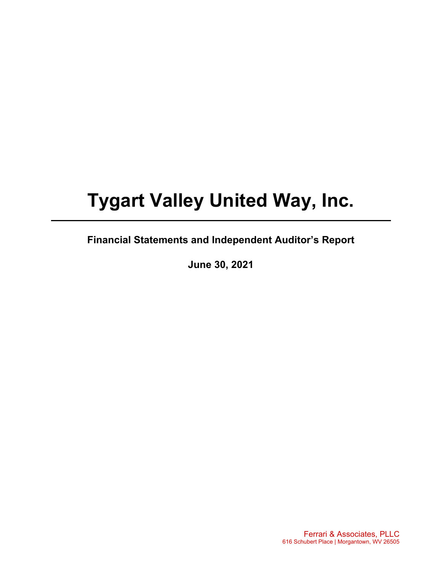# **Tygart Valley United Way, Inc.**

## **Financial Statements and Independent Auditor's Report**

**June 30, 2021** 

Ferrari & Associates, PLLC 616 Schubert Place | Morgantown, WV 26505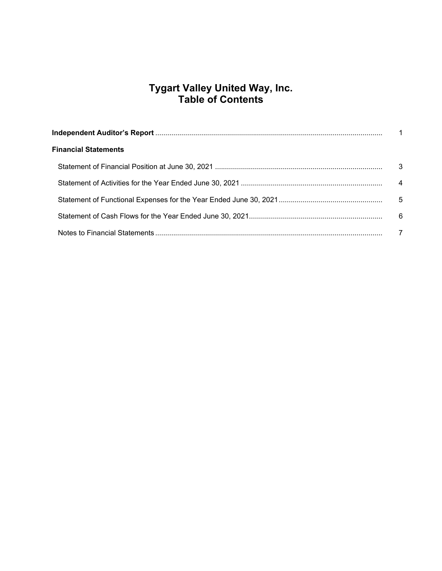## **Tygart Valley United Way, Inc. Table of Contents**

| <b>Financial Statements</b> |     |
|-----------------------------|-----|
|                             | -3  |
|                             | 4   |
|                             | - 5 |
|                             | - 6 |
|                             |     |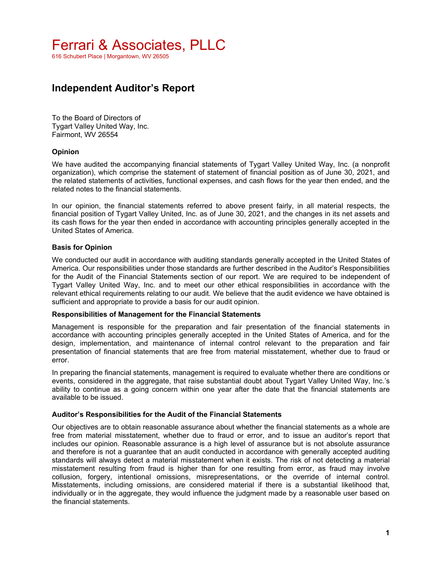616 Schubert Place | Morgantown, WV 26505

## **Independent Auditor's Report**

To the Board of Directors of Tygart Valley United Way, Inc. Fairmont, WV 26554

### **Opinion**

We have audited the accompanying financial statements of Tygart Valley United Way, Inc. (a nonprofit organization), which comprise the statement of statement of financial position as of June 30, 2021, and the related statements of activities, functional expenses, and cash flows for the year then ended, and the related notes to the financial statements.

In our opinion, the financial statements referred to above present fairly, in all material respects, the financial position of Tygart Valley United, Inc. as of June 30, 2021, and the changes in its net assets and its cash flows for the year then ended in accordance with accounting principles generally accepted in the United States of America.

### **Basis for Opinion**

We conducted our audit in accordance with auditing standards generally accepted in the United States of America. Our responsibilities under those standards are further described in the Auditor's Responsibilities for the Audit of the Financial Statements section of our report. We are required to be independent of Tygart Valley United Way, Inc. and to meet our other ethical responsibilities in accordance with the relevant ethical requirements relating to our audit. We believe that the audit evidence we have obtained is sufficient and appropriate to provide a basis for our audit opinion.

#### **Responsibilities of Management for the Financial Statements**

Management is responsible for the preparation and fair presentation of the financial statements in accordance with accounting principles generally accepted in the United States of America, and for the design, implementation, and maintenance of internal control relevant to the preparation and fair presentation of financial statements that are free from material misstatement, whether due to fraud or error.

In preparing the financial statements, management is required to evaluate whether there are conditions or events, considered in the aggregate, that raise substantial doubt about Tygart Valley United Way, Inc.'s ability to continue as a going concern within one year after the date that the financial statements are available to be issued.

#### **Auditor's Responsibilities for the Audit of the Financial Statements**

Our objectives are to obtain reasonable assurance about whether the financial statements as a whole are free from material misstatement, whether due to fraud or error, and to issue an auditor's report that includes our opinion. Reasonable assurance is a high level of assurance but is not absolute assurance and therefore is not a guarantee that an audit conducted in accordance with generally accepted auditing standards will always detect a material misstatement when it exists. The risk of not detecting a material misstatement resulting from fraud is higher than for one resulting from error, as fraud may involve collusion, forgery, intentional omissions, misrepresentations, or the override of internal control. Misstatements, including omissions, are considered material if there is a substantial likelihood that, individually or in the aggregate, they would influence the judgment made by a reasonable user based on the financial statements.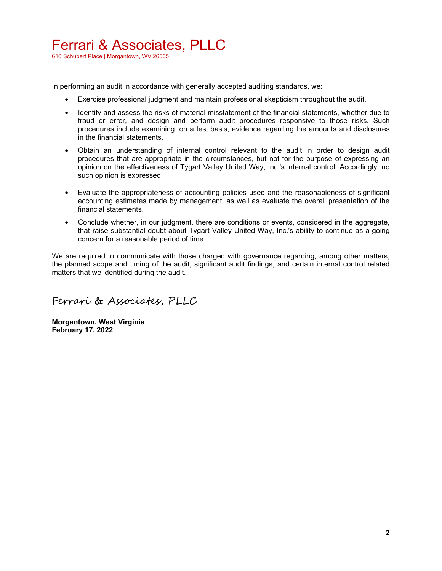## Ferrari & Associates, PLLC

616 Schubert Place | Morgantown, WV 26505

In performing an audit in accordance with generally accepted auditing standards, we:

- Exercise professional judgment and maintain professional skepticism throughout the audit.
- Identify and assess the risks of material misstatement of the financial statements, whether due to fraud or error, and design and perform audit procedures responsive to those risks. Such procedures include examining, on a test basis, evidence regarding the amounts and disclosures in the financial statements.
- Obtain an understanding of internal control relevant to the audit in order to design audit procedures that are appropriate in the circumstances, but not for the purpose of expressing an opinion on the effectiveness of Tygart Valley United Way, Inc.'s internal control. Accordingly, no such opinion is expressed.
- Evaluate the appropriateness of accounting policies used and the reasonableness of significant accounting estimates made by management, as well as evaluate the overall presentation of the financial statements.
- Conclude whether, in our judgment, there are conditions or events, considered in the aggregate, that raise substantial doubt about Tygart Valley United Way, Inc.'s ability to continue as a going concern for a reasonable period of time.

We are required to communicate with those charged with governance regarding, among other matters, the planned scope and timing of the audit, significant audit findings, and certain internal control related matters that we identified during the audit.

Ferrari & Associates, PLLC

**Morgantown, West Virginia February 17, 2022**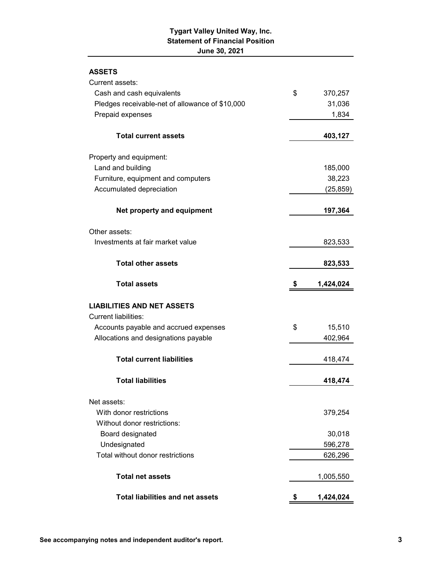## **Tygart Valley United Way, Inc. Statement of Financial Position June 30, 2021**

## **ASSETS**

| Current assets:                                 |                 |
|-------------------------------------------------|-----------------|
| Cash and cash equivalents                       | \$<br>370,257   |
| Pledges receivable-net of allowance of \$10,000 | 31,036          |
| Prepaid expenses                                | 1,834           |
| <b>Total current assets</b>                     | 403,127         |
| Property and equipment:                         |                 |
| Land and building                               | 185,000         |
| Furniture, equipment and computers              | 38,223          |
| Accumulated depreciation                        | (25, 859)       |
| Net property and equipment                      | 197,364         |
| Other assets:                                   |                 |
| Investments at fair market value                | 823,533         |
| <b>Total other assets</b>                       | 823,533         |
| <b>Total assets</b>                             | \$<br>1,424,024 |
| <b>LIABILITIES AND NET ASSETS</b>               |                 |
| <b>Current liabilities:</b>                     |                 |
| Accounts payable and accrued expenses           | \$<br>15,510    |
| Allocations and designations payable            | 402,964         |
| <b>Total current liabilities</b>                | 418,474         |
| <b>Total liabilities</b>                        | 418,474         |
| Net assets:                                     |                 |
| With donor restrictions                         | 379,254         |
| Without donor restrictions:                     |                 |
| Board designated                                | 30,018          |
| Undesignated                                    | 596,278         |
| Total without donor restrictions                | 626,296         |
| <b>Total net assets</b>                         | 1,005,550       |
| <b>Total liabilities and net assets</b>         | 1,424,024       |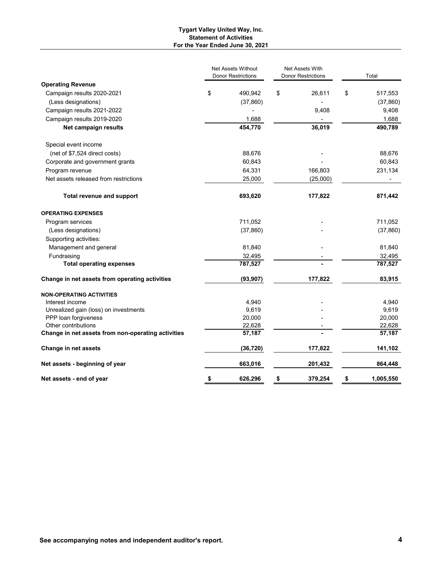#### **Tygart Valley United Way, Inc. Statement of Activities For the Year Ended June 30, 2021**

|                                                    | <b>Net Assets Without</b><br><b>Donor Restrictions</b> | <b>Net Assets With</b><br><b>Donor Restrictions</b> |          |                  |  | Total |
|----------------------------------------------------|--------------------------------------------------------|-----------------------------------------------------|----------|------------------|--|-------|
| <b>Operating Revenue</b>                           |                                                        |                                                     |          |                  |  |       |
| Campaign results 2020-2021                         | \$<br>490,942                                          | \$                                                  | 26,611   | \$<br>517,553    |  |       |
| (Less designations)                                | (37, 860)                                              |                                                     |          | (37, 860)        |  |       |
| Campaign results 2021-2022                         |                                                        |                                                     | 9,408    | 9,408            |  |       |
| Campaign results 2019-2020                         | 1,688                                                  |                                                     |          | 1,688            |  |       |
| Net campaign results                               | 454,770                                                |                                                     | 36,019   | 490,789          |  |       |
| Special event income                               |                                                        |                                                     |          |                  |  |       |
| (net of \$7,524 direct costs)                      | 88,676                                                 |                                                     |          | 88,676           |  |       |
| Corporate and government grants                    | 60,843                                                 |                                                     |          | 60,843           |  |       |
| Program revenue                                    | 64,331                                                 |                                                     | 166,803  | 231,134          |  |       |
| Net assets released from restrictions              | 25,000                                                 |                                                     | (25,000) |                  |  |       |
| <b>Total revenue and support</b>                   | 693,620                                                |                                                     | 177,822  | 871,442          |  |       |
| <b>OPERATING EXPENSES</b>                          |                                                        |                                                     |          |                  |  |       |
| Program services                                   | 711,052                                                |                                                     |          | 711,052          |  |       |
| (Less designations)                                | (37, 860)                                              |                                                     |          | (37, 860)        |  |       |
| Supporting activities:                             |                                                        |                                                     |          |                  |  |       |
| Management and general                             | 81,840                                                 |                                                     |          | 81,840           |  |       |
| Fundraising                                        | 32,495                                                 |                                                     |          | 32,495           |  |       |
| <b>Total operating expenses</b>                    | 787,527                                                |                                                     |          | 787,527          |  |       |
| Change in net assets from operating activities     | (93, 907)                                              |                                                     | 177,822  | 83,915           |  |       |
| <b>NON-OPERATING ACTIVITIES</b>                    |                                                        |                                                     |          |                  |  |       |
| Interest income                                    | 4,940                                                  |                                                     |          | 4,940            |  |       |
| Unrealized gain (loss) on investments              | 9,619                                                  |                                                     |          | 9,619            |  |       |
| PPP loan forgiveness                               | 20,000                                                 |                                                     |          | 20,000           |  |       |
| Other contributions                                | 22,628                                                 |                                                     |          | 22,628<br>57,187 |  |       |
| Change in net assets from non-operating activities | 57,187                                                 |                                                     |          |                  |  |       |
| Change in net assets                               | (36, 720)                                              |                                                     | 177,822  | 141,102          |  |       |
| Net assets - beginning of year                     | 663,016                                                |                                                     | 201,432  | 864,448          |  |       |
| Net assets - end of year                           | \$<br>626,296                                          | \$                                                  | 379,254  | \$<br>1,005,550  |  |       |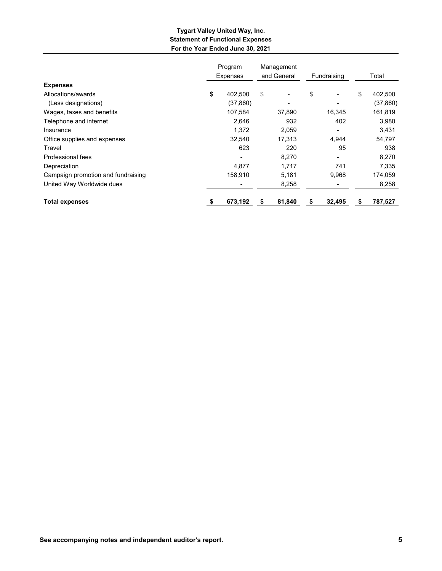### **Tygart Valley United Way, Inc. Statement of Functional Expenses For the Year Ended June 30, 2021**

|                                    | Program<br><b>Expenses</b> | Management<br>and General |        | Fundraising |        | Total |           |
|------------------------------------|----------------------------|---------------------------|--------|-------------|--------|-------|-----------|
| <b>Expenses</b>                    |                            |                           |        |             |        |       |           |
| Allocations/awards                 | \$<br>402,500              | \$                        |        | \$          |        | \$    | 402,500   |
| (Less designations)                | (37, 860)                  |                           |        |             |        |       | (37, 860) |
| Wages, taxes and benefits          | 107,584                    |                           | 37,890 |             | 16,345 |       | 161,819   |
| Telephone and internet             | 2.646                      |                           | 932    |             | 402    |       | 3,980     |
| Insurance                          | 1,372                      |                           | 2,059  |             |        |       | 3,431     |
| Office supplies and expenses       | 32,540                     |                           | 17,313 |             | 4,944  |       | 54,797    |
| Travel                             | 623                        |                           | 220    |             | 95     |       | 938       |
| Professional fees                  |                            |                           | 8,270  |             |        |       | 8,270     |
| Depreciation                       | 4,877                      |                           | 1,717  |             | 741    |       | 7,335     |
| Campaign promotion and fundraising | 158,910                    |                           | 5,181  |             | 9,968  |       | 174,059   |
| United Way Worldwide dues          |                            |                           | 8,258  |             |        |       | 8,258     |
| <b>Total expenses</b>              | 673,192                    | \$                        | 81,840 | \$          | 32,495 | \$    | 787,527   |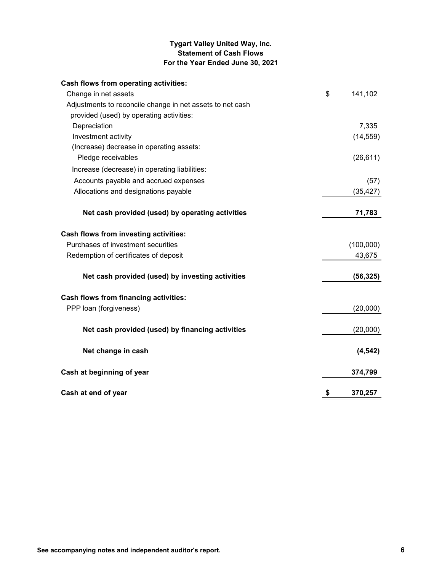## **Tygart Valley United Way, Inc. Statement of Cash Flows For the Year Ended June 30, 2021**

| Cash flows from operating activities:                     |               |
|-----------------------------------------------------------|---------------|
| Change in net assets                                      | \$<br>141,102 |
| Adjustments to reconcile change in net assets to net cash |               |
| provided (used) by operating activities:                  |               |
| Depreciation                                              | 7,335         |
| Investment activity                                       | (14, 559)     |
| (Increase) decrease in operating assets:                  |               |
| Pledge receivables                                        | (26, 611)     |
| Increase (decrease) in operating liabilities:             |               |
| Accounts payable and accrued expenses                     | (57)          |
| Allocations and designations payable                      | (35, 427)     |
| Net cash provided (used) by operating activities          | 71,783        |
| Cash flows from investing activities:                     |               |
| Purchases of investment securities                        | (100,000)     |
| Redemption of certificates of deposit                     | 43,675        |
| Net cash provided (used) by investing activities          | (56, 325)     |
| <b>Cash flows from financing activities:</b>              |               |
| PPP loan (forgiveness)                                    | (20,000)      |
| Net cash provided (used) by financing activities          | (20,000)      |
| Net change in cash                                        | (4, 542)      |
| Cash at beginning of year                                 | 374,799       |
| Cash at end of year                                       | \$<br>370,257 |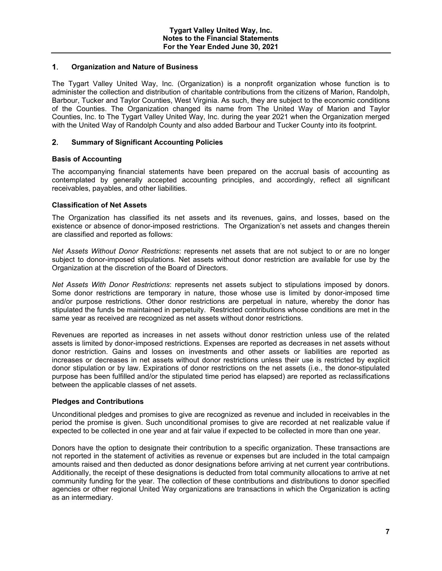#### $1.$ **Organization and Nature of Business**

The Tygart Valley United Way, Inc. (Organization) is a nonprofit organization whose function is to administer the collection and distribution of charitable contributions from the citizens of Marion, Randolph, Barbour, Tucker and Taylor Counties, West Virginia. As such, they are subject to the economic conditions of the Counties. The Organization changed its name from The United Way of Marion and Taylor Counties, Inc. to The Tygart Valley United Way, Inc. during the year 2021 when the Organization merged with the United Way of Randolph County and also added Barbour and Tucker County into its footprint.

#### $2.$ **Summary of Significant Accounting Policies**

### **Basis of Accounting**

The accompanying financial statements have been prepared on the accrual basis of accounting as contemplated by generally accepted accounting principles, and accordingly, reflect all significant receivables, payables, and other liabilities.

#### **Classification of Net Assets**

The Organization has classified its net assets and its revenues, gains, and losses, based on the existence or absence of donor-imposed restrictions. The Organization's net assets and changes therein are classified and reported as follows:

*Net Assets Without Donor Restrictions*: represents net assets that are not subject to or are no longer subject to donor-imposed stipulations. Net assets without donor restriction are available for use by the Organization at the discretion of the Board of Directors.

*Net Assets With Donor Restrictions*: represents net assets subject to stipulations imposed by donors. Some donor restrictions are temporary in nature, those whose use is limited by donor-imposed time and/or purpose restrictions. Other donor restrictions are perpetual in nature, whereby the donor has stipulated the funds be maintained in perpetuity. Restricted contributions whose conditions are met in the same year as received are recognized as net assets without donor restrictions.

Revenues are reported as increases in net assets without donor restriction unless use of the related assets is limited by donor-imposed restrictions. Expenses are reported as decreases in net assets without donor restriction. Gains and losses on investments and other assets or liabilities are reported as increases or decreases in net assets without donor restrictions unless their use is restricted by explicit donor stipulation or by law. Expirations of donor restrictions on the net assets (i.e., the donor-stipulated purpose has been fulfilled and/or the stipulated time period has elapsed) are reported as reclassifications between the applicable classes of net assets.

#### **Pledges and Contributions**

Unconditional pledges and promises to give are recognized as revenue and included in receivables in the period the promise is given. Such unconditional promises to give are recorded at net realizable value if expected to be collected in one year and at fair value if expected to be collected in more than one year.

Donors have the option to designate their contribution to a specific organization. These transactions are not reported in the statement of activities as revenue or expenses but are included in the total campaign amounts raised and then deducted as donor designations before arriving at net current year contributions. Additionally, the receipt of these designations is deducted from total community allocations to arrive at net community funding for the year. The collection of these contributions and distributions to donor specified agencies or other regional United Way organizations are transactions in which the Organization is acting as an intermediary.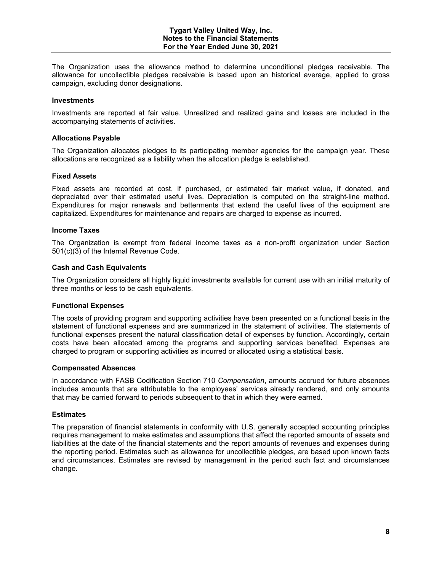The Organization uses the allowance method to determine unconditional pledges receivable. The allowance for uncollectible pledges receivable is based upon an historical average, applied to gross campaign, excluding donor designations.

#### **Investments**

Investments are reported at fair value. Unrealized and realized gains and losses are included in the accompanying statements of activities.

#### **Allocations Payable**

The Organization allocates pledges to its participating member agencies for the campaign year. These allocations are recognized as a liability when the allocation pledge is established.

#### **Fixed Assets**

Fixed assets are recorded at cost, if purchased, or estimated fair market value, if donated, and depreciated over their estimated useful lives. Depreciation is computed on the straight-line method. Expenditures for major renewals and betterments that extend the useful lives of the equipment are capitalized. Expenditures for maintenance and repairs are charged to expense as incurred.

#### **Income Taxes**

The Organization is exempt from federal income taxes as a non-profit organization under Section 501(c)(3) of the Internal Revenue Code.

#### **Cash and Cash Equivalents**

The Organization considers all highly liquid investments available for current use with an initial maturity of three months or less to be cash equivalents.

#### **Functional Expenses**

The costs of providing program and supporting activities have been presented on a functional basis in the statement of functional expenses and are summarized in the statement of activities. The statements of functional expenses present the natural classification detail of expenses by function. Accordingly, certain costs have been allocated among the programs and supporting services benefited. Expenses are charged to program or supporting activities as incurred or allocated using a statistical basis.

#### **Compensated Absences**

In accordance with FASB Codification Section 710 *Compensation*, amounts accrued for future absences includes amounts that are attributable to the employees' services already rendered, and only amounts that may be carried forward to periods subsequent to that in which they were earned.

#### **Estimates**

The preparation of financial statements in conformity with U.S. generally accepted accounting principles requires management to make estimates and assumptions that affect the reported amounts of assets and liabilities at the date of the financial statements and the report amounts of revenues and expenses during the reporting period. Estimates such as allowance for uncollectible pledges, are based upon known facts and circumstances. Estimates are revised by management in the period such fact and circumstances change.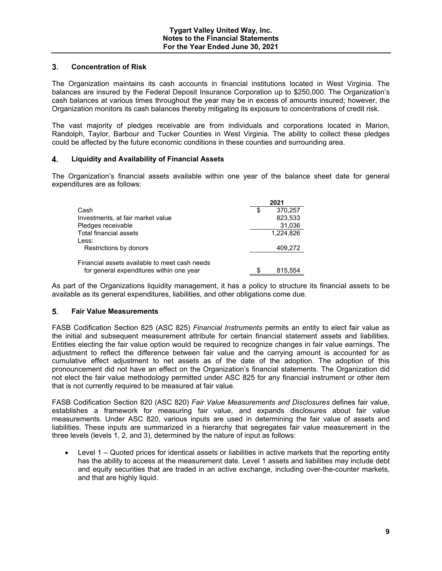#### $3<sub>1</sub>$ **Concentration of Risk**

The Organization maintains its cash accounts in financial institutions located in West Virginia. The balances are insured by the Federal Deposit Insurance Corporation up to \$250,000. The Organization's cash balances at various times throughout the year may be in excess of amounts insured; however, the Organization monitors its cash balances thereby mitigating its exposure to concentrations of credit risk.

The vast majority of pledges receivable are from individuals and corporations located in Marion, Randolph, Taylor, Barbour and Tucker Counties in West Virginia. The ability to collect these pledges could be affected by the future economic conditions in these counties and surrounding area.

#### 4. **Liquidity and Availability of Financial Assets**

The Organization's financial assets available within one year of the balance sheet date for general expenditures are as follows:

|                                               |   | 2021      |
|-----------------------------------------------|---|-----------|
| Cash                                          | S | 370.257   |
| Investments, at fair market value             |   | 823,533   |
| Pledges receivable                            |   | 31,036    |
| Total financial assets                        |   | 1.224.826 |
| Less:                                         |   |           |
| Restrictions by donors                        |   | 409,272   |
| Financial assets available to meet cash needs |   |           |
| for general expenditures within one year      | S | 815,554   |

As part of the Organizations liquidity management, it has a policy to structure its financial assets to be available as its general expenditures, liabilities, and other obligations come due.

#### $5.$ **Fair Value Measurements**

FASB Codification Section 825 (ASC 825) *Financial Instruments* permits an entity to elect fair value as the initial and subsequent measurement attribute for certain financial statement assets and liabilities. Entities electing the fair value option would be required to recognize changes in fair value earnings. The adjustment to reflect the difference between fair value and the carrying amount is accounted for as cumulative effect adjustment to net assets as of the date of the adoption. The adoption of this pronouncement did not have an effect on the Organization's financial statements. The Organization did not elect the fair value methodology permitted under ASC 825 for any financial instrument or other item that is not currently required to be measured at fair value.

FASB Codification Section 820 (ASC 820) *Fair Value Measurements and Disclosures* defines fair value, establishes a framework for measuring fair value, and expands disclosures about fair value measurements. Under ASC 820, various inputs are used in determining the fair value of assets and liabilities. These inputs are summarized in a hierarchy that segregates fair value measurement in the three levels (levels 1, 2, and 3), determined by the nature of input as follows:

 Level 1 – Quoted prices for identical assets or liabilities in active markets that the reporting entity has the ability to access at the measurement date. Level 1 assets and liabilities may include debt and equity securities that are traded in an active exchange, including over-the-counter markets, and that are highly liquid.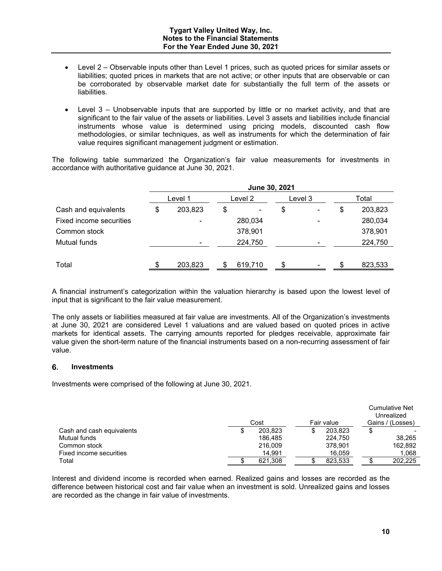- Level 2 Observable inputs other than Level 1 prices, such as quoted prices for similar assets or liabilities; quoted prices in markets that are not active; or other inputs that are observable or can be corroborated by observable market date for substantially the full term of the assets or liabilities.
- Level 3 Unobservable inputs that are supported by little or no market activity, and that are significant to the fair value of the assets or liabilities. Level 3 assets and liabilities include financial instruments whose value is determined using pricing models, discounted cash flow methodologies, or similar techniques, as well as instruments for which the determination of fair value requires significant management judgment or estimation.

The following table summarized the Organization's fair value measurements for investments in accordance with authoritative guidance at June 30, 2021.

|                         | June 30, 2021 |    |         |         |                          |    |         |
|-------------------------|---------------|----|---------|---------|--------------------------|----|---------|
|                         | Level 1       |    | Level 2 | Level 3 |                          |    | Total   |
| Cash and equivalents    | \$<br>203,823 | \$ | ۰       | \$      | $\overline{\phantom{a}}$ | \$ | 203,823 |
| Fixed income securities |               |    | 280,034 |         |                          |    | 280,034 |
| Common stock            |               |    | 378,901 |         |                          |    | 378,901 |
| Mutual funds            |               |    | 224,750 |         |                          |    | 224,750 |
|                         |               |    |         |         |                          |    |         |
| Total                   | \$<br>203,823 | S. | 619,710 | \$.     | $\blacksquare$           |    | 823,533 |

A financial instrument's categorization within the valuation hierarchy is based upon the lowest level of input that is significant to the fair value measurement.

The only assets or liabilities measured at fair value are investments. All of the Organization's investments at June 30, 2021 are considered Level 1 valuations and are valued based on quoted prices in active markets for identical assets. The carrying amounts reported for pledges receivable, approximate fair value given the short-term nature of the financial instruments based on a non-recurring assessment of fair value.

#### **Investments**

Investments were comprised of the following at June 30, 2021.

|                           | Cost<br>Fair value |  |         | <b>Cumulative Net</b><br>Unrealized<br>Gains / (Losses) |
|---------------------------|--------------------|--|---------|---------------------------------------------------------|
| Cash and cash equivalents | \$<br>203.823      |  | 203.823 |                                                         |
| Mutual funds              | 186.485            |  | 224.750 | 38.265                                                  |
| Common stock              | 216,009            |  | 378.901 | 162,892                                                 |
| Fixed income securities   | 14.991             |  | 16.059  | 1,068                                                   |
| Total                     | 621.308            |  | 823.533 | 202.225                                                 |

Interest and dividend income is recorded when earned. Realized gains and losses are recorded as the difference between historical cost and fair value when an investment is sold. Unrealized gains and losses are recorded as the change in fair value of investments.